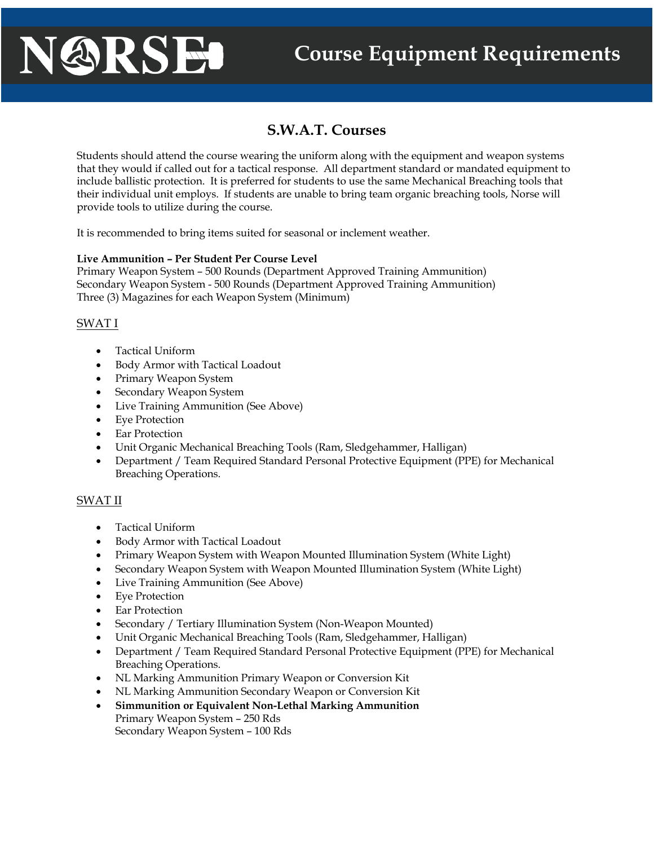# NORSE

# **S.W.A.T. Courses**

Students should attend the course wearing the uniform along with the equipment and weapon systems that they would if called out for a tactical response. All department standard or mandated equipment to include ballistic protection. It is preferred for students to use the same Mechanical Breaching tools that their individual unit employs. If students are unable to bring team organic breaching tools, Norse will provide tools to utilize during the course.

It is recommended to bring items suited for seasonal or inclement weather.

#### **Live Ammunition – Per Student Per Course Level**

Primary Weapon System – 500 Rounds (Department Approved Training Ammunition) Secondary Weapon System - 500 Rounds (Department Approved Training Ammunition) Three (3) Magazines for each Weapon System (Minimum)

## SWAT I

- Tactical Uniform
- Body Armor with Tactical Loadout
- Primary Weapon System
- Secondary Weapon System
- Live Training Ammunition (See Above)
- Eye Protection
- **Ear Protection**
- Unit Organic Mechanical Breaching Tools (Ram, Sledgehammer, Halligan)
- Department / Team Required Standard Personal Protective Equipment (PPE) for Mechanical Breaching Operations.

## SWAT II

- Tactical Uniform
- Body Armor with Tactical Loadout
- Primary Weapon System with Weapon Mounted Illumination System (White Light)
- Secondary Weapon System with Weapon Mounted Illumination System (White Light)
- Live Training Ammunition (See Above)
- Eye Protection
- **Ear Protection**
- Secondary / Tertiary Illumination System (Non-Weapon Mounted)
- Unit Organic Mechanical Breaching Tools (Ram, Sledgehammer, Halligan)
- Department / Team Required Standard Personal Protective Equipment (PPE) for Mechanical Breaching Operations.
- NL Marking Ammunition Primary Weapon or Conversion Kit
- NL Marking Ammunition Secondary Weapon or Conversion Kit
- **Simmunition or Equivalent Non-Lethal Marking Ammunition** Primary Weapon System – 250 Rds Secondary Weapon System – 100 Rds